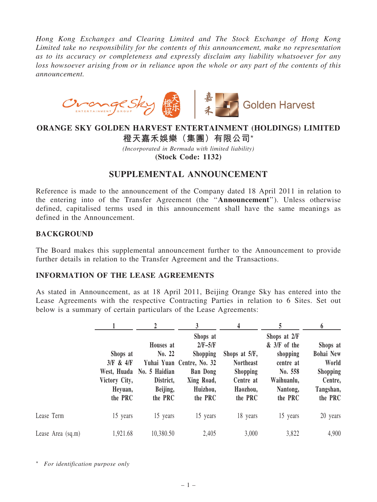Hong Kong Exchanges and Clearing Limited and The Stock Exchange of Hong Kong Limited take no responsibility for the contents of this announcement, make no representation as to its accuracy or completeness and expressly disclaim any liability whatsoever for any loss howsoever arising from or in reliance upon the whole or any part of the contents of this announcement.



## ORANGE SKY GOLDEN HARVEST ENTERTAINMENT (HOLDINGS) LIMITED 橙天嘉禾娛樂(集團)有限公司\*

(Incorporated in Bermuda with limited liability) (Stock Code: 1132)

## SUPPLEMENTAL ANNOUNCEMENT

Reference is made to the announcement of the Company dated 18 April 2011 in relation to the entering into of the Transfer Agreement (the ''Announcement''). Unless otherwise defined, capitalised terms used in this announcement shall have the same meanings as defined in the Announcement.

## **BACKGROUND**

The Board makes this supplemental announcement further to the Announcement to provide further details in relation to the Transfer Agreement and the Transactions.

## INFORMATION OF THE LEASE AGREEMENTS

As stated in Announcement, as at 18 April 2011, Beijing Orange Sky has entered into the Lease Agreements with the respective Contracting Parties in relation to 6 Sites. Set out below is a summary of certain particulars of the Lease Agreements:

|                   |                                                              |                                                                                      | 3                                                                                                                             | 4                                                                                        | 5                                                                                                       | 6                                                                                           |
|-------------------|--------------------------------------------------------------|--------------------------------------------------------------------------------------|-------------------------------------------------------------------------------------------------------------------------------|------------------------------------------------------------------------------------------|---------------------------------------------------------------------------------------------------------|---------------------------------------------------------------------------------------------|
|                   | Shops at<br>3/F & 4/F<br>Victory City,<br>Heyuan,<br>the PRC | Houses at<br>No. 22<br>West, Huada No. 5 Haidian<br>District,<br>Beijing,<br>the PRC | Shops at<br>$2/F-5/F$<br><b>Shopping</b><br>Yuhai Yuan Centre, No. 32<br><b>Ban Dong</b><br>Xing Road,<br>Huizhou,<br>the PRC | Shops at 5/F,<br><b>Northeast</b><br><b>Shopping</b><br>Centre at<br>Haozhou,<br>the PRC | Shops at 2/F<br>$&$ 3/F of the<br>shopping<br>centre at<br>No. 558<br>Waihuanlu,<br>Nantong,<br>the PRC | Shops at<br><b>Bohai New</b><br>World<br><b>Shopping</b><br>Centre,<br>Tangshan,<br>the PRC |
| Lease Term        | 15 years                                                     | 15 years                                                                             | 15 years                                                                                                                      | 18 years                                                                                 | 15 years                                                                                                | 20 years                                                                                    |
| Lease Area (sq.m) | 1,921.68                                                     | 10,380.50                                                                            | 2,405                                                                                                                         | 3,000                                                                                    | 3,822                                                                                                   | 4,900                                                                                       |

\* For identification purpose only